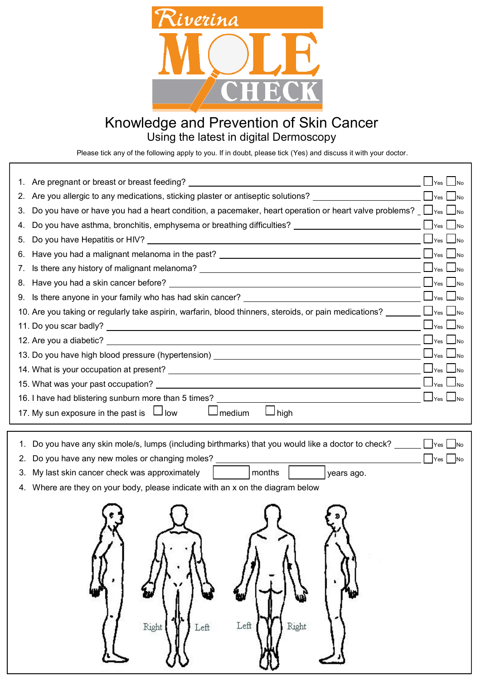

## Knowledge and Prevention of Skin Cancer Using the latest in digital Dermoscopy

Please tick any of the following apply to you. If in doubt, please tick (Yes) and discuss it with your doctor.

| 1. |                                                                                                                                                                                                                                |                                          |
|----|--------------------------------------------------------------------------------------------------------------------------------------------------------------------------------------------------------------------------------|------------------------------------------|
| 2. | Are you allergic to any medications, sticking plaster or antiseptic solutions? _____________________                                                                                                                           | Yes<br><b>No</b>                         |
| 3. | Do you have or have you had a heart condition, a pacemaker, heart operation or heart valve problems? $\Box$ $\Box$ $\Box$ $\Box$ $\Box$                                                                                        |                                          |
| 4. | Do you have asthma, bronchitis, emphysema or breathing difficulties? ______________________________                                                                                                                            | Yes<br>$\blacksquare$ No                 |
| 5. |                                                                                                                                                                                                                                | $\blacksquare$ No<br>Yes                 |
| 6. | Have you had a malignant melanoma in the past? __________________________________                                                                                                                                              | $\Box$ Yes<br>$\blacksquare$ No          |
| 7. |                                                                                                                                                                                                                                | $\Box$ Yes<br><b>J</b> No                |
|    |                                                                                                                                                                                                                                | Yes<br>N <sub>0</sub>                    |
|    | 9. Is there anyone in your family who has had skin cancer? ______________________                                                                                                                                              | $\mathsf{I}$ Yes                         |
|    |                                                                                                                                                                                                                                |                                          |
|    |                                                                                                                                                                                                                                | $\mathbf{I}_{\text{Yes}}$  <br>$\Box$ No |
|    |                                                                                                                                                                                                                                | $\mathsf{\sim}$ Yes                      |
|    | 13. Do you have high blood pressure (hypertension) _____________________________                                                                                                                                               | $\mathsf{N}_0$<br>Yes                    |
|    |                                                                                                                                                                                                                                | $\mathsf{\underline{\hspace{1pt}I}}$ Yes |
|    |                                                                                                                                                                                                                                | Yes                                      |
|    | 16. I have had blistering sunburn more than 5 times? The contract of the contract of the contract of the contract of the contract of the contract of the contract of the contract of the contract of the contract of the contr |                                          |
|    | 17. My sun exposure in the past is $\Box$ low<br>$\Box$ medium<br>$\sqcup$ high                                                                                                                                                |                                          |
|    |                                                                                                                                                                                                                                |                                          |
| 1. | Do you have any skin mole/s, lumps (including birthmarks) that you would like a doctor to check?                                                                                                                               | <b>No</b>                                |
| 2. | Do you have any new moles or changing moles? ___________________________________                                                                                                                                               | Yes<br>No                                |
| З. | My last skin cancer check was approximately<br>  months<br>years ago.                                                                                                                                                          |                                          |
| 4. | Where are they on your body, please indicate with an x on the diagram below                                                                                                                                                    |                                          |
|    |                                                                                                                                                                                                                                |                                          |
|    |                                                                                                                                                                                                                                |                                          |
|    |                                                                                                                                                                                                                                |                                          |
|    |                                                                                                                                                                                                                                |                                          |
|    |                                                                                                                                                                                                                                |                                          |
|    |                                                                                                                                                                                                                                |                                          |
|    |                                                                                                                                                                                                                                |                                          |
|    |                                                                                                                                                                                                                                |                                          |
|    |                                                                                                                                                                                                                                |                                          |
|    | Left<br>Right<br>Right<br>Left                                                                                                                                                                                                 |                                          |
|    |                                                                                                                                                                                                                                |                                          |
|    |                                                                                                                                                                                                                                |                                          |
|    |                                                                                                                                                                                                                                |                                          |